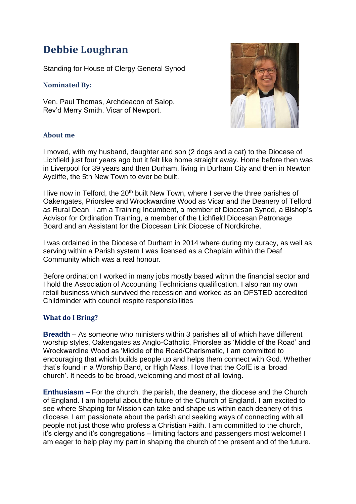# **Debbie Loughran**

Standing for House of Clergy General Synod

### **Nominated By:**

Ven. Paul Thomas, Archdeacon of Salop. Rev'd Merry Smith, Vicar of Newport.



### **About me**

I moved, with my husband, daughter and son (2 dogs and a cat) to the Diocese of Lichfield just four years ago but it felt like home straight away. Home before then was in Liverpool for 39 years and then Durham, living in Durham City and then in Newton Aycliffe, the 5th New Town to ever be built.

I live now in Telford, the 20<sup>th</sup> built New Town, where I serve the three parishes of Oakengates, Priorslee and Wrockwardine Wood as Vicar and the Deanery of Telford as Rural Dean. I am a Training Incumbent, a member of Diocesan Synod, a Bishop's Advisor for Ordination Training, a member of the Lichfield Diocesan Patronage Board and an Assistant for the Diocesan Link Diocese of Nordkirche.

I was ordained in the Diocese of Durham in 2014 where during my curacy, as well as serving within a Parish system I was licensed as a Chaplain within the Deaf Community which was a real honour.

Before ordination I worked in many jobs mostly based within the financial sector and I hold the Association of Accounting Technicians qualification. I also ran my own retail business which survived the recession and worked as an OFSTED accredited Childminder with council respite responsibilities

## **What do I Bring?**

**Breadth** – As someone who ministers within 3 parishes all of which have different worship styles, Oakengates as Anglo-Catholic, Priorslee as 'Middle of the Road' and Wrockwardine Wood as 'Middle of the Road/Charismatic, I am committed to encouraging that which builds people up and helps them connect with God. Whether that's found in a Worship Band, or High Mass. I love that the CofE is a 'broad church'. It needs to be broad, welcoming and most of all loving.

**Enthusiasm –** For the church, the parish, the deanery, the diocese and the Church of England. I am hopeful about the future of the Church of England. I am excited to see where Shaping for Mission can take and shape us within each deanery of this diocese. I am passionate about the parish and seeking ways of connecting with all people not just those who profess a Christian Faith. I am committed to the church, it's clergy and it's congregations – limiting factors and passengers most welcome! I am eager to help play my part in shaping the church of the present and of the future.